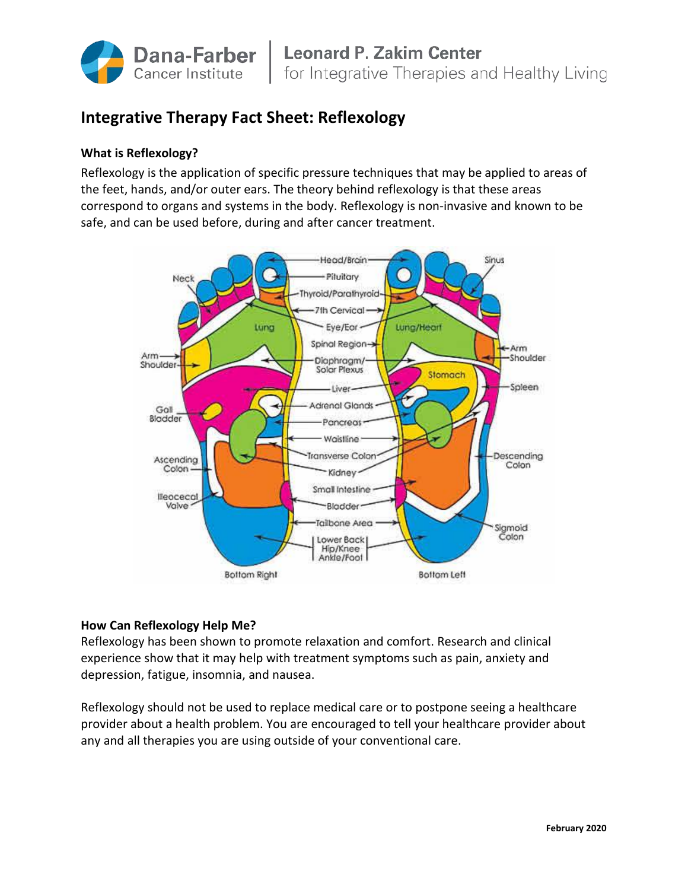

# **Integrative Therapy Fact Sheet: Reflexology**

# **What is Reflexology?**

Reflexology is the application of specific pressure techniques that may be applied to areas of the feet, hands, and/or outer ears. The theory behind reflexology is that these areas correspond to organs and systems in the body. Reflexology is non-invasive and known to be safe, and can be used before, during and after cancer treatment.



## **How Can Reflexology Help Me?**

Reflexology has been shown to promote relaxation and comfort. Research and clinical experience show that it may help with treatment symptoms such as pain, anxiety and depression, fatigue, insomnia, and nausea.

Reflexology should not be used to replace medical care or to postpone seeing a healthcare provider about a health problem. You are encouraged to tell your healthcare provider about any and all therapies you are using outside of your conventional care.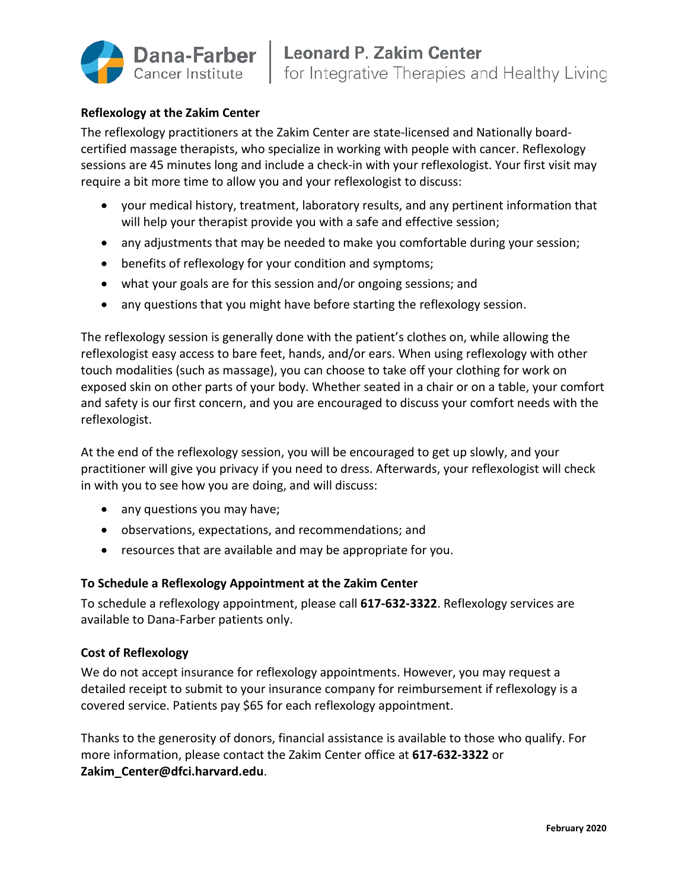

#### **Reflexology at the Zakim Center**

The reflexology practitioners at the Zakim Center are state-licensed and Nationally boardcertified massage therapists, who specialize in working with people with cancer. Reflexology sessions are 45 minutes long and include a check-in with your reflexologist. Your first visit may require a bit more time to allow you and your reflexologist to discuss:

- your medical history, treatment, laboratory results, and any pertinent information that will help your therapist provide you with a safe and effective session;
- any adjustments that may be needed to make you comfortable during your session;
- benefits of reflexology for your condition and symptoms;
- what your goals are for this session and/or ongoing sessions; and
- any questions that you might have before starting the reflexology session.

The reflexology session is generally done with the patient's clothes on, while allowing the reflexologist easy access to bare feet, hands, and/or ears. When using reflexology with other touch modalities (such as massage), you can choose to take off your clothing for work on exposed skin on other parts of your body. Whether seated in a chair or on a table, your comfort and safety is our first concern, and you are encouraged to discuss your comfort needs with the reflexologist.

At the end of the reflexology session, you will be encouraged to get up slowly, and your practitioner will give you privacy if you need to dress. Afterwards, your reflexologist will check in with you to see how you are doing, and will discuss:

- any questions you may have;
- observations, expectations, and recommendations; and
- resources that are available and may be appropriate for you.

## **To Schedule a Reflexology Appointment at the Zakim Center**

To schedule a reflexology appointment, please call **617-632-3322**. Reflexology services are available to Dana-Farber patients only.

## **Cost of Reflexology**

We do not accept insurance for reflexology appointments. However, you may request a detailed receipt to submit to your insurance company for reimbursement if reflexology is a covered service. Patients pay \$65 for each reflexology appointment.

Thanks to the generosity of donors, financial assistance is available to those who qualify. For more information, please contact the Zakim Center office at **617-632-3322** or **Zakim\_Center@dfci.harvard.edu**.